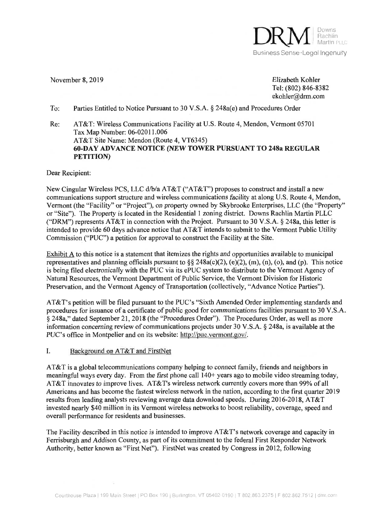

November 8, 2019 Elizabeth Kohler November 8,2019 Elizabeth Kohler Tel: (802) 846-8382 Tel: (802) 846-8382 ekohler@drm.com ekohler@drm.com

To: Parties Entitled to Notice Pursuant to 30 V.S.A. § 248a(e) and Procedures Order To: Parties Entitled to Notice Pursuant to 30 V.S.A. \$ 248a(e) and Procedures Order

Re: AT&T: Wireless Communications Facility at U.S. Route 4, Mendon, Vermont 05701 AT&T: Wireless Communications Facility at U.S. Route 4, Mendon, Vermont <sup>05701</sup> Tax Map Number: 06-02011.006 Tax Map Number: 06-02011.006 AT&T Site Name: Mendon (Route 4, VT6345) AT&T Site Name: Mendon (Route 4,VT6345) 60-DAY ADVANCE NOTICE (NEW TOWER PURSUANT TO 248a REGULAR PETITION) PETTTION) Re:

Dear Recipient: Dear Recipient:

New Cingular Wireless PCS, LLC d/b/a AT&T ("AT&T") proposes to construct and install a new communications support structure and wireless communications facility at along U.S. Route 4, Mendon, Vermont (the "Facility" or "Project"), on property owned by Skybrooke Enterprises, LLC (the "Property" Vermont (the "Facility" or "Project"), on property owned by Skybrooke Enterprises, LLC (the "Property" or "Site"). The Property is located in the Residential 1 zoning district. Downs Rachlin Martin PLLC ("DRM") represents AT&T in connection with the Project. Pursuant to 30 V.S.A.  $\S$  248a, this letter is intended to provide 60 days advance notice that AT&T intends to submit to the Vermont Public Utility intended to provide 60 days advance notice that AT&T intends to submit to the Vermont Public Utility Commission ("PUC") a petition for approval to construct the Facility at the Site. Commission ("PUC") a petition for approval to construct the Facility at the Site.

Exhibit  $\vec{A}$  to this notice is a statement that itemizes the rights and opportunities available to municipal representatives and planning officials pursuant to  $\S § 248a(c)(2)$ , (e)(2), (m), (n), (o), and (p). This notice is being filed electronically with the PUC via its ePUC system to distribute to the Vermont Agency of is being filed electronically with the PUC via its ePUC system to distribute to the Vermont Agency of Natural Resources, the Vermont Department of Public Service, the Vermont Division for Historic Natural Resources, the Vermont Department of Public Service, the Vermont Division for Historic Preservation, and the Vermont Agency of Transportation (collectively, "Advance Notice Parties").

AT&T's petition will be filed pursuant to the PUC's "Sixth Amended Order implementing standards and AT&T's petition will be filed pursuant to the PUC's "Sixth Amended Order implementing standards and procedures for issuance of a certificate of public good for communications facilities pursuant to 30 V.S.A. procedures for issuance of a certificate of public good for communications facilities pursuant to 30 V.S.A § 248a," dated September 21, 2018 (the "Procedures Order"). The Procedures Order, as well as more information concerning review of communications projects under 30 V.S.A. § 248a, is available at the information concerning review of communications projects under 30 V.S.A. \$ 248a, is available at the PUC's office in Montpelier and on its website: http://puc.vermont.gov/.

# I. Background on AT&T and FirstNet

AT&T is a global telecommunications company helping to connect family, friends and neighbors in AT&T is a global telecommunications company helping to connect family, friends and neighbors in meaningful ways every day. From the first phone call 140+ years ago to mobile video streaming today, meaningful ways every day. From the first phone call 140+ years ago to mobile video streaming today, AT&T innovates to improve lives. AT&T's wireless network currently covers more than 99% of all Americans and has become the fastest wireless network in the nation, according to the first quarter 2019 Americans and has become the fastest wireless network in the nation, according to the first quarter 2019 results from leading analysts reviewing average data download speeds. During 2016-2018, AT&T invested nearly \$40 million in its Vermont wireless networks to boost reliability, coverage, speed and invested nearly \$40 million in its Vermont wireless networks to boost reliability, coverage, speed and overall performance for residents and businesses. overall performance for residents and businesses.

The Facility described in this notice is intended to improve AT&T's network coverage and capacity in The Facility described in this notice is intended to improve AT&T's network coverage and capacity in Ferrisburgh and Addison County, as part of its commitment to the federal First Responder Network Ferrisburgh and Addison County, as part of its commitment to the federal First Responder Network Authority, better known as "First Net"). FirstNet was created by Congress in 2012, following Authority, better known as "First Net"). FirstNet was created by Congress in20l2, following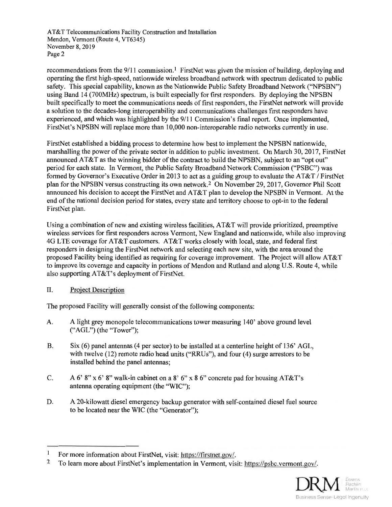AT&T Telecommunications Facility Construction and Installation AT&T Telecommunications Facility Construction and Installation Mendon, Vermont (Route 4, VT6345) Mendon, Vermont (Route 4,VT6345) November 8, 2019 November 8,2019 Page 2 Page2

recommendations from the 9/11 commission.<sup>1</sup> FirstNet was given the mission of building, deploying and operating the first high-speed, nationwide wireless broadband network with spectrum dedicated to public safety. This special capability, known as the Nationwide Public Safety Broadband Network ("NPSBN") using Band 14 (700MHz) spectrum, is built especially for first responders. By deploying the NPSBN using Band 14 (700MHz) spectrum, is built especially for first responders. By deploying the NPSBN built specifically to meet the communications needs of first responders, the FirstNet network will provide built specifically to meet the communications needs of first responders, the FirstNet network will provide a solution to the decades-long interoperability and communications challenges first responders have <sup>a</sup>solution to the decades-long interoperability and communications challenges first responders have experienced, and which was highlighted by the 9/11 Commission's final report. Once implemented, FirstNet's NPSBN will replace more than 10,000 non-interoperable radio networks currently in use. FirstNet's NPSBN will replace more than 10,000 non-interoperable radio networks currently in use.

FirstNet established a bidding process to determine how best to implement the NPSBN nationwide, FirstNet established a bidding process to determine how best to implement the NPSBN nationwide, marshalling the power of the private sector in addition to public investment. On March 30, 2017, FirstNet marshalling the power of the private sector in addition to public investment. On March 30,2017, FirstNet announced AT&T as the winning bidder of the contract to build the NPSBN, subject to an "opt out" announced AT&T as the winning bidder of the contract to build the NPSBN, subject to an "opt out" period for each state. In Vermont, the Public Safety Broadband Network Commission ("PSBC") was period for each state. In Vermont, the Public Safety Broadband Network Commission ("PSBC") was formed by Governor's Executive Order in 2013 to act as a guiding group to evaluate the AT&T / FirstNet plan for the NPSBN versus constructing its own network.<sup>2</sup> On November 29, 2017, Governor Phil Scott announced his decision to accept the FirstNet and AT&T plan to develop the NPSBN in Vermont. At the announced his decision to accept the FirstNet and AT&T plan to develop the NPSBN in Vermont. At the end of the national decision period for states, every state and territory choose to opt-in to the federal FirstNet plan. FirstNet plan.

Using a combination of new and existing wireless facilities, AT&T will provide prioritized, preemptive Using a combination of new and existing wireless facilities, AT&T will provide prioritized, preemptive wireless services for first responders across Vermont, New England and nationwide, while also improving wireless services for first responders across Vermont, New England and nationwide, while also improving 4G LTE coverage for AT&T customers. AT&T works closely with local, state, and federal first 4G LTE coverage for AT&T customers. AT&T works closely with local, state, and federal first responders in designing the FirstNet network and selecting each new site, with the area around the responders in designing the FirstNet network and selecting each new site, with the area around the proposed Facility being identified as requiring for coverage improvement. The Project will allow AT&T proposed Facility being identified as requiring for coverage improvement. The Project will allow AT&T to improve its coverage and capacity in portions of Mendon and Rutland and along U.S. Route 4, while to improve its coverage and capacity in portions of Mendon and Rutland and along U.S. Route 4, while also supporting AT&T's deployment of FirstNet. also supporting AT&T's deployment of FirstNet.

II. Project Description

The proposed Facility will generally consist of the following components: The proposed Facility will generally consist of the following components:

- A. A light grey monopole telecommunications tower measuring 140' above ground level A. A light grey monopole telecommunications tower measuring 140' above ground level ("AGL") (the "Tower"); (\*AGL") (the "Tower");
- B. Six (6) panel antennas (4 per sector) to be installed at a centerline height of 136' AGL, Six (6) panel antennas (4 per sector) to be installed at a centerline height of 136' AGL, with twelve (12) remote radio head units ("RRUs"), and four (4) surge arrestors to be with twelve (12) remote radio head units ("RRUs"), and four (4) surge arrestors to be installed behind the panel antennas; installed behind the panel antennas; B,
- C. A 6' 8" x 6' 8" walk-in cabinet on a 8' 6" x 8 6" concrete pad for housing  $AT&T$ 's antenna operating equipment (the "WIC"); antenna operating equipment (the "WIC"); C.
- D. A 20-kilowatt diesel emergency backup generator with self-contained diesel fuel source A 20-kilowatt diesel emergency backup generator with self-contained diesel fuel source to be located near the WIC (the "Generator"); to be located near the WIC (the "Generator"); D.

<sup>&</sup>lt;sup>2</sup> To learn more about FirstNet's implementation in Vermont, visit: https://psbc.vermont.gov/. 2



<sup>&</sup>lt;sup>1</sup> For more information about FirstNet, visit: https://firstnet.gov/.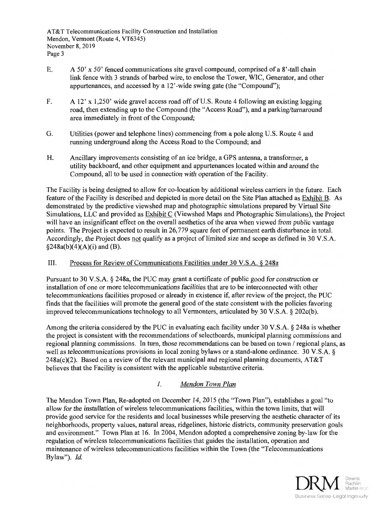AT&T Telecommunications Facility Construction and Installation AT&T Telecommunications Facility Construction and Installation Mendon, Vermont (Route 4, VT6345) Mendon, Vermont (Route 4,VT6345) November 8, 2019 November 8,2019 Page 3 Page <sup>3</sup>

- E. A 50' x 50' fenced communications site gravel compound, comprised of a 8'-tall chain link fence with 3 strands of barbed wire, to enclose the Tower, WIC, Generator, and other link fence with 3 strands of barbed wire, to enclose the Tower, WIC, Generator, and other appurtenances, and accessed by a 12'-wide swing gate (the "Compound"); appurtenances, and accessed by a 12'-wide swing gate (the "Compound");
- F. A 12' x 1,250' wide gravel access road off of U.S. Route 4 following an existing logging F. A 12' x 1,250' wide gravel access road off of U.S. Route 4 following an existing logging road, then extending up to the Compound (the "Access Road"), and a parking/turnaround area immediately in front of the Compound; area immediately in front of the Compound;
- G. Utilities (power and telephone lines) commencing from a pole along U.S. Route 4 and G. Utilities (power and telephone lines) commencing from a pole along U.S. Route 4 and running underground along the Access Road to the Compound; and
- H. Ancillary improvements consisting of an ice bridge, a GPS antenna, a transformer, a H. Ancillary improvements consisting of an ice bridge, a GPS antenna, a transformer, <sup>a</sup> utility backboard, and other equipment and appurtenances located within and around the utility backboard, and other equipment and appurtenances located within and around the Compound, all to be used in connection with operation of the Facility.

The Facility is being designed to allow for co-location by additional wireless carriers in the future. Each The Facility is being designed to allow for co-location by additional wireless carriers in the future. Each feature of the Facility is described and depicted in more detail on the Site Plan attached as Exhibit B. As feature of the Facility is described and depicted in more detail on the Site Plan attached as Exhibit B. As demonstrated by the predictive viewshed map and photographic simulations prepared by Virtual Site demonstrated by the predictive viewshed map and photographic simulations prepared by Virtual Site Simulations, LLC and provided as *Exhibit C* (Viewshed Maps and Photographic Simulations), the Project will have an insignificant effect on the overall aesthetics of the area when viewed from public vantage will have an insignificant effect on the overall aesthetics of the area when viewed from public vantage points. The Project is expected to result in 26,779 square feet of permanent earth disturbance in total. Accordingly, the Project does not qualify as a project of limited size and scope as defined in 30 V.S.A.  $§248a(b)(4)(A)(i)$  and (B).

III. Process for Review of Communications Facilities under 30 V.S.A. § 248a

Pursuant to 30 V.S.A. § 248a, the PUC may grant a certificate of public good for construction or Pursuant to 30 V.S.A. \$ 248a, the PUC may grant a certificate of public good for construction or installation of one or more telecommunications facilities that are to be interconnected with other installation of one or more telecommunications facilities that are to be interconnected with other telecommunications facilities proposed or already in existence if, after review of the project, the PUC telecommunications facilities proposed or already in existence if, after review of the project, the PUC finds that the facilities will promote the general good of the state consistent with the policies favoring finds that the facilities will promote the general good of the state consistent with the policies favoring improved telecommunications technology to all Vermonters, articulated by 30 V.S.A. § 202c(b). improved telecommunications technology to all Vermonters, articulated by 30 V.S.A. \$ 202c(b).

Among the criteria considered by the PUC in evaluating each facility under 30 V.S.A. § 248a is whether Among the criteria considered by the PUC in evaluating each facility under 30 V.S.A. \$ 248a is whether the project is consistent with the recommendations of selectboards, municipal planning commissions and the project is consistent with the recommendations of selectboards, municipal planning commissions and regional planning commissions. In turn, those recommendations can be based on town / regional plans, as regional planning commissions. In turn, those recommendations can be based on town / regional plans, as well as telecommunications provisions in local zoning bylaws or a stand-alone ordinance. 30 V.S.A. §  $248a(c)(2)$ . Based on a review of the relevant municipal and regional planning documents, AT&T believes that the Facility is consistent with the applicable substantive criteria. believes that the Facility is consistent with the applicable substantive criteria.

# 1. Mendon Town Plan

The Mendon Town Plan, Re-adopted on December 14, 2015 (the "Town Plan"), establishes a goal "to allow for the installation of wireless telecommunications facilities, within the town limits, that will allow for the installation of wireless telecommunications facilities, within the town limits, that will provide good service for the residents and local businesses while preserving the aesthetic character of its neighborhoods, property values, natural areas, ridgelines, historic districts, community preservation goals neighborhoods, property values, nafural areas, ridgelines, historic districts, community preservation goals and environment." Town Plan at 16. In 2004, Mendon adopted a comprehensive zoning by-law for the regulation of wireless telecommunications facilities that guides the installation, operation and regulation of wireless telecommunications facilities that guides the installation, operation and maintenance of wireless telecommunications facilities within the Town (the "Telecommunications maintenance of wireless telecommunications facilities within the Town (the "Telecommunications Bylaw"). Id.

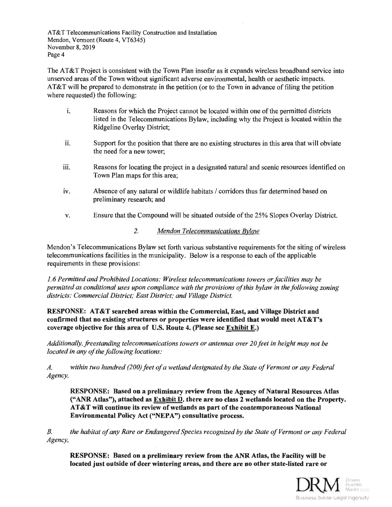AT&T Telecommunications Facility Construction and Installation AT&T Telecommunications Facility Construction and Installation Mendon, Vermont (Route 4, VT6345) Mendon, Vermont (Route 4,VT6345) November 8, 2019 November 8,2019 Page 4 Page 4

The AT&T Project is consistent with the Town Plan insofar as it expands wireless broadband service into The AT&T Project is consistent with the Town Plan insofar as it expands wireless broadband service into unserved areas of the Town without significant adverse environmental, health or aesthetic impacts. unserved areas of the Town without significant adverse environmental, health or aesthetic impacts. AT&T will be prepared to demonstrate in the petition (or to the Town in advance of filing the petition AT&T will be prepared to demonstrate in the petition (or to the Town in advance of filing the petition where requested) the following: where requested) the following:

- i. Reasons for which the Project cannot be located within one of the permitted districts Reasons for which the Project cannot be located within one of the permitted districts listed in the Telecommunications Bylaw, including why the Project is located within the listed in the Telecommunications Bylaw, including why the Project is located within the Ridgeline Overlay District; Ridgeline Overlay District; l.
- ii. Support for the position that there are no existing structures in this area that will obviate Support for the position that there are no existing structures in this area that will obviate the need for a new tower; the need for a new tower; ll.
- iii. Reasons for locating the project in a designated natural and scenic resources identified on Reasons for locating the project in a designated natural and scenic resources identified on Town Plan maps for this area; Town Plan maps for this area; iii.
- iv. Absence of any natural or wildlife habitats / corridors thus far determined based on Absence of any natural or wildlife habitats / corridors thus far determined based on preliminary research; and preliminary research; and iv.
- v. Ensure that the Compound will be situated outside of the 25% Slopes Overlay District.
	- 2. Mendon Telecommunications Bylaw

Mendon's Telecommunications Bylaw set forth various substantive requirements for the siting of wireless Mendon's Telecommunications Bylaw set forth various substantive requirements for the siting of wireless telecommunications facilities in the municipality. Below is a response to each of the applicable telecommunications facilities in the municipality. Below is a response to each of the applicable requirements in these provisions: requirements in these provisions:

1.6 Permitted and Prohibited Locations: Wireless telecommunications towers or facilities may be 1.6 Permitted and Prohibited Locations: Wireless telecommunications towers orfacilities may be permitted as conditional uses upon compliance with the provisions of this bylaw in the following zoning permitted as conditional uses upon compliance with the provisions of this bylaw in thefollowing zoning districts: Commercial District; East District; and Village District. districts: Commercial District; East District; and Village District.

RESPONSE: AT&T searched areas within the Commercial, East, and Village District and RESPONSE: AT&T searched areas within the Commercial, East, and Village District and confirmed that no existing structures or properties were identified that would meet  $\text{AT}\&\text{T}'\text{s}$ coverage objective for this area of U.S. Route 4. (Please see Exhibit E.) coverage objective for this area of U.S. Route 4. (Please see Exhibit E.)

Additionally, freestanding telecommunications towers or antennas over 20 feet in height may not be Additionally, freestanding telecommunications towers or antennas over 20feet in height may not be located in any of the following locations:

A. within two hundred (200) feet of a wetland designated by the State of Vermont or any Federal A. within two hundred (200) feet of a wetland designated by the State of Vermont or ony Federal Agency, Agency,

RESPONSE: Based on a preliminary review from the Agency of Natural Resources Atlas RESPONSE: Based on a preliminary review from the Agency of Natural Resources Atlas ("ANR Atlas"), attached as  $\overline{\text{Exhibit D}}$ . there are no class 2 wetlands located on the Property. AT&T will continue its review of wetlands as part of the contemporaneous National AT&T will continue its review of wetlands as part of the contemporaneous National Environmental Policy Act ("NEPA") consultative process. Environmental Policy Act ((NEPA") consultative process.

B. the habitat of any Rare or Endangered Species recognized by the State of Vermont or any Federal Agency, Agency,

RESPONSE: Based on a preliminary review from the ANR Atlas, the Facility will be located just outside of deer wintering areas, and there are no other state-listed rare or

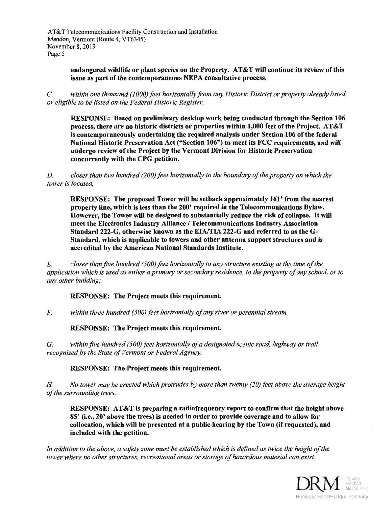AT&T Telecommunications Facility Construction and Installation AT&T Telecommunications Facility Construction and Installation Mendon, Vermont (Route 4, VT6345) Mendon, Vermont (Route 4,VT6345) November 8, 2019 November 8,2019 Page 5 Page <sup>5</sup>

> endangered wildlife or plant species on the Property. AT&T will continue its review of this issue as part of the contemporaneous NEPA consultative process. issue as part of the contemporaneous NEPA consultative process.

C. within one thousand (1000) feet horizontally from any Historic District or property already listed or eligible to be listed on the Federal Historic Register, or eligible to be listed on the Federal Historic Register,

RESPONSE: Based on preliminary desktop work being conducted through the Section 106 RESPONSE: Based on preliminary desktop work being conducted through the Section <sup>106</sup> process, there are no historic districts or properties within  $1{,}000$  feet of the Project.  ${\rm AT\&T}$ is contemporaneously undertaking the required analysis under Section 106 of the federal is contemporaneously undertaking the required analysis under Section 106 of the federal National Historic Preservation Act ("Section 106") to meet its FCC requirements, and will undergo review of the Project by the Vermont Division for Historic Preservation undergo review of the Project by the Vermont Division for Historic Preservation concurrently with the CPG petition. concurrently with the CPG petition.

D. closer than two hundred (200) feet horizontally to the boundary of the property on which the D. closer than two hundred (200) feet horizontally to the boundary of the property on which the tower is located, tower is located,

RESPONSE: The proposed Tower will be setback approximately 161' from the nearest RESPONSE: The proposed Tower will be setback approximately 161' from the nearest property line, which is less than the 200' required in the Telecommunications Bylaw. property line, which is less than the 200' required in the Telecommunications Bylaw. However, the Tower will be designed to substantially reduce the risk of collapse. It will meet the Electronics Industry Alliance / Telecommunications Industry Association meet the Electronics Industry Alliance / Telecommunications Industry Association Standard 222-G, otherwise known as the EIA/TIA 222-G and referred to as the G-Standard, which is applicable to towers and other antenna support structures and is Standard, which is applicable to towers and other antenna support structures and is accredited by the American National Standards Institute. accredited by the American National Standards Institute.

E. closer than five hundred (500) feet horizontally to any structure existing at the time of the application which is used as either a primary or secondary residence, to the property of any school, or to application which is used as either a primary or secondary residence, to the property of any school, or to any other building; any other building;

## RESPONSE: The Project meets this requirement. RESPONSE: The Project meets this requirement.

F. within three hundred (300) feet horizontally of any river or perennial stream. F. within three hundred (300) feet horizontally of any river or perennial stream.

RESPONSE: The Project meets this requirement. RESPONSE: The Project meets this requirement.

G. within five hundred (500) feet horizontally of a designated scenic road, highway or trail recognized by the State of Vermont or Federal Agency.

RESPONSE: The Project meets this requirement. RESPONSE: The Project meets this requirement.

H. No tower may be erected which protrudes by more than twenty (20) feet above the average height of the surrounding trees. of the surrounding trees.

RESPONSE: AT&T is preparing a radiofrequency report to confirm that the height above RESPONSE: AT&T is preparing a radiofrequency report to confirm that the height above 85' (i.e., 20' above the trees) is needed in order to provide coverage and to allow for collocation, which will be presented at a public hearing by the Town (if requested), and included with the petition. included with the Petition.

In addition to the above, a safety zone must be established which is defined as twice the height of the tower where no other structures, recreational areas or storage of hazardous material can exist.

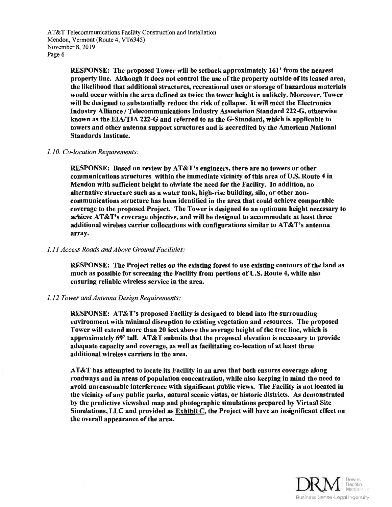RESPONSE: The proposed Tower will be setback approximately 161' from the nearest RESPONSE: The proposed Tower will be setback approximately 161' from the nearest property line. Although it does not control the use of the property outside of its leased area, property line. Although it does not control the use of the property outside of its leased area, the likelihood that additional structures, recreational uses or storage of hazardous materials the likelihood that additional structures, recreational uses or storage of hazardous materials would occur within the area defined as twice the tower height is unlikely. Moreover, Tower would occur within the area defined as twice the tower height is unlikely. Moreover, Tower will be designed to substantially reduce the risk of collapse. It will meet the Electronics will be designed to substantially reduce the risk of collapse. It will meet the Electronics Industry Alliance / Telecommunications Industry Association Standard 222-G, otherwise known as the EIA/TIA 222-G and referred to as the G-Standard, which is applicable to known as the EIA/TIA 222-G and referred to as the G-standard, which is appticable to towers and other antenna support structures and is accredited by the American National towers and other antenna support structures and is accredited by the American National Standards Institute. Standards Institute.

## 1.10. Co-location Requirements:

RESPONSE: Based on review by AT&T's engineers, there are no towers or other RESPONSE: Based on review by AT&T's engineers, there are no towers or other communications structures within the immediate vicinity of this area of U.S. Route 4 in communications structures within the immediate vicinity of this area of U.S. Route 4 in Mendon with sufficient height to obviate the need for the Facility. In addition, no Mendon with sufficient height to obviate the need for the Facility. In addition, no alternative structure such as a water tank, high-rise building, silo, or other noncommunications structure has been identified in the area that could achieve comparable communications structure has been identified in the area that could achieve comparable coverage to the proposed Project. The Tower is designed to an optimum height necessary to coverage to the proposed Project. The Tower is designed to an optimum height necessary to achieve AT&T's coverage objective, and will be designed to accommodate at least three achieve AT&T's coverage objective, and will be designed to accommodate at least three additional wireless carrier collocations with configurations similar to AT&T's antenna additional wireless carrier collocations with configurations similar to AT&T's antenna array. array.

## 1.11 Access Roads and Above Ground Facilities: 1.1I Access Roads and Above Ground Facilities

RESPONSE: The Project relies on the existing forest to use existing contours of the land as RESPONSE: The Project relies on the existing forest to use existing contours of the land as much as possible for screening the Facility from portions of U.S. Route 4, while also much as possible for screening the Facility from portions of U.S. Route 4, while also ensuring reliable wireless service in the area. ensuring reliable wireless service in the area.

#### 1.12 Tower and Antenna Design Requirements: 1.12 Tower and Antenna Design Requirements

RESPONSE: AT&T's proposed Facility is designed to blend into the surrounding RESPONSE: AT&T's proposed Facility is designed to blend into the surrounding environment with minimal disruption to existing vegetation and resources. The proposed environment with minimal disruption to existing vegetation and resources. The proposed Tower will extend more than 20 feet above the average height of the tree line, which is Tower will extend more than 20 feet above the average height of the tree line, which is approximately 69' tall. AT&T submits that the proposed elevation is necessary to provide approximately 69'tall. AT&T submits that the proposed elevation is necessary to provide adequate capacity and coverage, as well as facilitating co-location of at least three adequate capacity and coverage, as well as facilitating co-location of at least three additional wireless carriers in the area. additional wireless carriers in the area.

AT&T has attempted to locate its Facility in an area that both ensures coverage along roadways and in areas of population concentration, while also keeping in mind the need to roadways and in areas of population concentration, while also keeping in mind the need to avoid unreasonable interference with significant public views. The Facility is not located in the vicinity of any public parks, natural scenic vistas, or historic districts. As demonstrated the vicinity of any public parks, natural scenic vistas, or historic districts. As demonstrated by the predictive viewshed map and photographic simulations prepared by Virtual Site by the predictive viewshed map and photographic simulations prepared by Virtual Site Simulations, LLC and provided as  $\overline{\text{Exhibit C}}$ , the Project will have an insignificant effect on the overall appearance of the area.

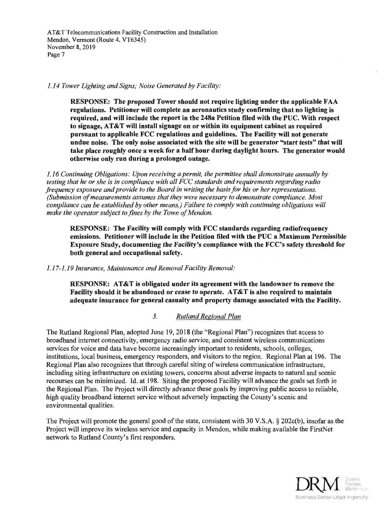AT&T Telecommunications Facility Construction and Installation AT&T Telecommunications Facility Construction and Installation Mendon, Vermont (Route 4, VT6345) Mendon, Vermont (Route 4,VT6345) November 8, 2019 November 8,2019 Page 7 Page 7

1.14 Tower Lighting and Signs; Noise Generated by Facility: l.l4 Tower Lighting and Signs; Noise Generated by Facility:

RESPONSE: The proposed Tower should not require lighting under the applicable FAA RESPONSE: The proposed Tower should not require lighting under the applicable FAA regulations. Petitioner will complete an aeronautics study confirming that no lighting is regulations. Petitioner will complete an aeronautics study confirming that no lighting is required, and will include the report in the 248a Petition filed with the PUC. With respect required, and will include the report in the 248a Petition filed with the PUC. With respect to signage, AT&T will install signage on or within its equipment cabinet as required to signage, AT&T will install signage on or within its equipment cabinet as required pursuant to applicable FCC regulations and guidelines. The Facility will not generate pursuant to applicable FCC regulations and guidelines. The X'acility will not generate undue noise. The only noise associated with the site will be generator "start tests" that will take place roughly once a week for a half hour during daylight hours. The generator would take place roughly once a week for a half hour during daylight hours. The generator would otherwise only run during a prolonged outage. otherwise only run during a prolonged outage.

1.16 Continuing Obligations: Upon receiving a permit, the permittee shall demonstrate annually by testing that he or she is in compliance with all FCC standards and requirements regarding radio frequency exposure and provide to the Board in writing the basis for his or her representations. (Submission of measurements assumes that they were necessary to demonstrate compliance. Most compliance can be established by other means.) Failure to comply with continuing obligations will compliance can be established by other means.) Failure to comply with continuing obligations will make the operator subject to fines by the Town of Mendon.

RESPONSE: The Facility will comply with FCC standards regarding radiofrequency RESPONSE: The Facility wilt comply with FCC standards regarding radiofrequency emissions. Petitioner will include in the Petition filed with the PUC a Maximum Permissible emissions. Petitioner will include in the Petition filed with the PUC a Maximum Permissible Exposure Study, documenting the Facility's compliance with the FCC's safety threshold for Exposure Study, documenting the Facility's compliance with the FCC's safety threshold for both general and occupational safety. both general and occupational safety.

1.17-1.19 Insurance, Maintenance and Removal Facility Removal:

RESPONSE: AT&T is obligated under its agreement with the landowner to remove the Facility should it be abandoned or cease to operate. AT&T is also required to maintain Facility should it be abandoned or cease to operate. AT&T is also required to maintain adequate insurance for general casualty and property damage associated with the Facility. adequate insurance for general casualty and property damage associated with the Facitity.

3. Rutland Regional Plan

The Rutland Regional Plan, adopted June 19, 2018 (the "Regional Plan") recognizes that access to The Rutland Regional Plan, adopted June 19,2018 (the "Regional Plan") recognizes that access to broadband internet connectivity, emergency radio service, and consistent wireless communications broadband internet connectivity, emergency radio service, and consistent wireless communications services for voice and data have become increasingly important to residents, schools, colleges, services for voice and data have become increasingly important to residents, schools, colleges, institutions, local business, emergency responders, and visitors to the region. Regional Plan at 196. The institutions, local business, emergency responders, and visitors to the region. Regional Plan at 196. The Regional Plan also recognizes that through careful siting of wireless communication infrastructure, Regional Plan also recognizes that through careful siting of wireless communication infrastructure, including siting infrastructure on existing towers, concerns about adverse impacts to natural and scenic recourses can be minimized. Id. at 198. Siting the proposed Facility will advance the goals set forth in the Regional Plan. The Project will directly advance these goals by improving public access to reliable, the Regional Plan. The Project will directly advance these goals by improving public access to reliable, high quality broadband internet service without adversely impacting the County's scenic and high quality broadband internet service without adversely impacting the County's scenic and environmental qualities. environmental qualities.

The Project will promote the general good of the state, consistent with 30 V.S.A. § 202c(b), insofar as the The Project will promote the general good of the state, consistent with 30 V.S.A. \$ 202c(b), insofar as the Project will improve its wireless service and capacity in Mendon, while making available the FirstNet Project will improve its wireless service and capacity in Mendon, while making available the FirstNet network to Rutland County's first responders. network to Rutland County's first responders.

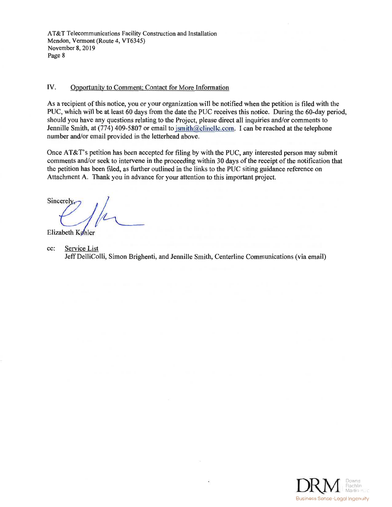AT&T Telecommunications Facility Construction and Installation AT&T Telecommunications Facility Construction and Installation Mendon, Vermont (Route 4, VT6345) Mendon, Vermont (Route 4,VT6345) November 8, 2019 November 8,2019 Page 8 Page <sup>8</sup>

# IV. Opportunity to Comment; Contact for More Information

As a recipient of this notice, you or your organization will be notified when the petition is filed with the As a recipient of this notice, you or your organizationwill be notified when the petition is filed with the PUC, which will be at least 60 days from the date the PUC receives this notice. During the 60-day period, PUC, which will be at least 60 days from the date the PUC receives this notice. During the 60-day period, should you have any questions relating to the Project, please direct all inquiries and/or comments to should you have any questions relating to the Project, please direct all inquiries and/or comments to Jennille Smith, at (774) 409-5807 or email to jsmith@clinellc.com. I can be reached at the telephone number and/or email provided in the letterhead above. number and/or email provided in the letterhead above.

Once AT&T's petition has been accepted for filing by with the PUC, any interested person may submit Once AT&T's petition has been accepted for filing by with the PUC, any interested person may submit comments and/or seek to intervene in the proceeding within 30 days of the receipt of the notification that comments and/or seek to intervene in the proceeding within 30 days of the receipt of the notification that the petition has been filed, as further outlined in the links to the PUC siting guidance reference on the petition has been filed, as further outlined in the links to the PUC siting guidance reference on Attachment A. Thank you in advance for your attention to this important project. Attachment A. Thank you in advance for your attention to this important project.

**Sincerel** 

Elizabeth Køhler

cc: Service List Jeff DelliColli, Simon Brighenti, and Jennille Smith, Centerline Communications (via email) Jeff DelliColli, Simon Brighenti, and Jennille Smith, Centerline Communications (via email) cc:

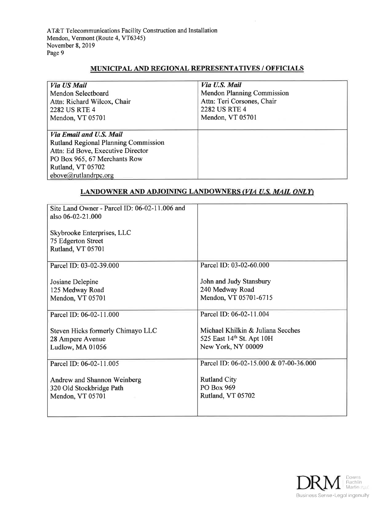# MUNICIPAL AND REGIONAL REPRESENTATIVES / OFFICIALS MUNICIPAL AND REGIONAL REPRESENTATIVES / OFF'ICIALS

| Via US Mail<br>Mendon Selectboard<br>Attn: Richard Wilcox, Chair<br>2282 US RTE 4<br>Mendon, VT 05701 | Via U.S. Mail<br><b>Mendon Planning Commission</b><br>Attn: Teri Corsones, Chair<br><b>2282 US RTE 4</b><br>Mendon, VT 05701 |
|-------------------------------------------------------------------------------------------------------|------------------------------------------------------------------------------------------------------------------------------|
|                                                                                                       |                                                                                                                              |
| Via Email and U.S. Mail                                                                               |                                                                                                                              |
| <b>Rutland Regional Planning Commission</b>                                                           |                                                                                                                              |
| Attn: Ed Bove, Executive Director                                                                     |                                                                                                                              |
| PO Box 965, 67 Merchants Row                                                                          |                                                                                                                              |
| Rutland, VT 05702                                                                                     |                                                                                                                              |
| ebove@rutlandrpc.org                                                                                  |                                                                                                                              |

# <u>LANDOWNER AND ADJOINING LANDOWNERS (*VIA U.S. MAIL ONLY*)</u>

| Site Land Owner - Parcel ID: 06-02-11.006 and<br>also 06-02-21.000<br>Skybrooke Enterprises, LLC<br>75 Edgerton Street<br>Rutland, VT 05701 |                                                                                      |
|---------------------------------------------------------------------------------------------------------------------------------------------|--------------------------------------------------------------------------------------|
| Parcel ID: 03-02-39.000                                                                                                                     | Parcel ID: 03-02-60.000                                                              |
| Josiane Delepine<br>125 Medway Road<br>Mendon, VT 05701                                                                                     | John and Judy Stansbury<br>240 Medway Road<br>Mendon, VT 05701-6715                  |
| Parcel ID: 06-02-11.000                                                                                                                     | Parcel ID: 06-02-11.004                                                              |
| Steven Hicks formerly Chimayo LLC<br>28 Ampere Avenue<br>Ludlow, MA 01056                                                                   | Michael Khilkin & Juliana Secches<br>525 East 14th St. Apt 10H<br>New York, NY 00009 |
| Parcel ID: 06-02-11.005                                                                                                                     | Parcel ID: 06-02-15.000 & 07-00-36.000                                               |
| Andrew and Shannon Weinberg<br>320 Old Stockbridge Path<br>Mendon, VT 05701                                                                 | <b>Rutland City</b><br>PO Box 969<br>Rutland, VT 05702                               |